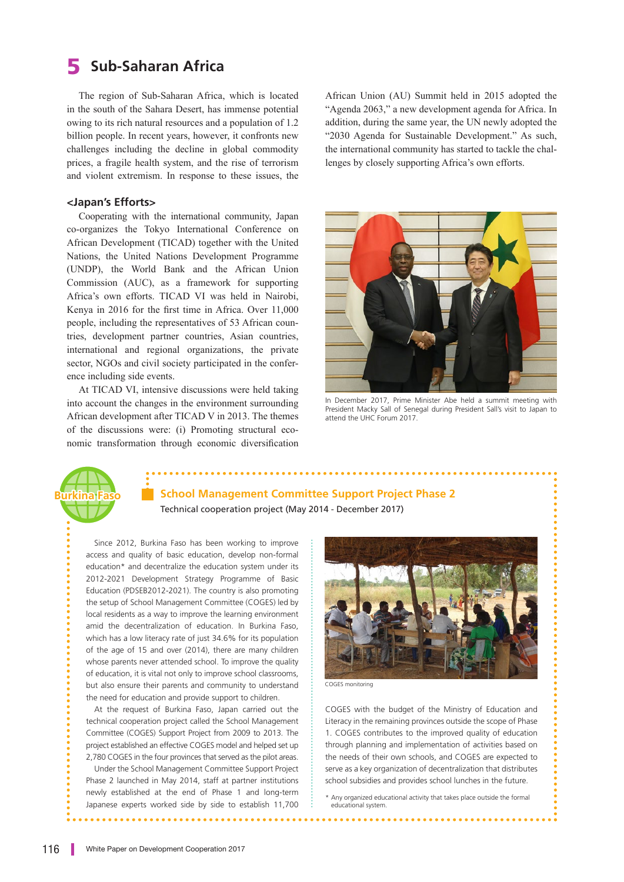# 5 **Sub-Saharan Africa**

The region of Sub-Saharan Africa, which is located in the south of the Sahara Desert, has immense potential owing to its rich natural resources and a population of 1.2 billion people. In recent years, however, it confronts new challenges including the decline in global commodity prices, a fragile health system, and the rise of terrorism and violent extremism. In response to these issues, the

#### **<Japan's Efforts>**

Cooperating with the international community, Japan co-organizes the Tokyo International Conference on African Development (TICAD) together with the United Nations, the United Nations Development Programme (UNDP), the World Bank and the African Union Commission (AUC), as a framework for supporting Africa's own efforts. TICAD VI was held in Nairobi, Kenya in 2016 for the first time in Africa. Over 11,000 people, including the representatives of 53 African countries, development partner countries, Asian countries, international and regional organizations, the private sector, NGOs and civil society participated in the conference including side events.

At TICAD VI, intensive discussions were held taking into account the changes in the environment surrounding African development after TICAD V in 2013. The themes of the discussions were: (i) Promoting structural economic transformation through economic diversification

African Union (AU) Summit held in 2015 adopted the "Agenda 2063," a new development agenda for Africa. In addition, during the same year, the UN newly adopted the "2030 Agenda for Sustainable Development." As such, the international community has started to tackle the challenges by closely supporting Africa's own efforts.



In December 2017, Prime Minister Abe held a summit meeting with President Macky Sall of Senegal during President Sall's visit to Japan to attend the UHC Forum 2017.

# **School Management Committee Support Project Phase 2**

Technical cooperation project (May 2014 - December 2017)

Since 2012, Burkina Faso has been working to improve access and quality of basic education, develop non-formal education\* and decentralize the education system under its 2012-2021 Development Strategy Programme of Basic Education (PDSEB2012-2021). The country is also promoting the setup of School Management Committee (COGES) led by local residents as a way to improve the learning environment amid the decentralization of education. In Burkina Faso, which has a low literacy rate of just 34.6% for its population of the age of 15 and over (2014), there are many children whose parents never attended school. To improve the quality of education, it is vital not only to improve school classrooms, but also ensure their parents and community to understand the need for education and provide support to children.

At the request of Burkina Faso, Japan carried out the technical cooperation project called the School Management Committee (COGES) Support Project from 2009 to 2013. The project established an effective COGES model and helped set up 2,780 COGES in the four provinces that served as the pilot areas.

Under the School Management Committee Support Project Phase 2 launched in May 2014, staff at partner institutions newly established at the end of Phase 1 and long-term Japanese experts worked side by side to establish 11,700



COGES monitoring

COGES with the budget of the Ministry of Education and Literacy in the remaining provinces outside the scope of Phase 1. COGES contributes to the improved quality of education through planning and implementation of activities based on the needs of their own schools, and COGES are expected to serve as a key organization of decentralization that distributes school subsidies and provides school lunches in the future.

\* Any organized educational activity that takes place outside the formal educational system.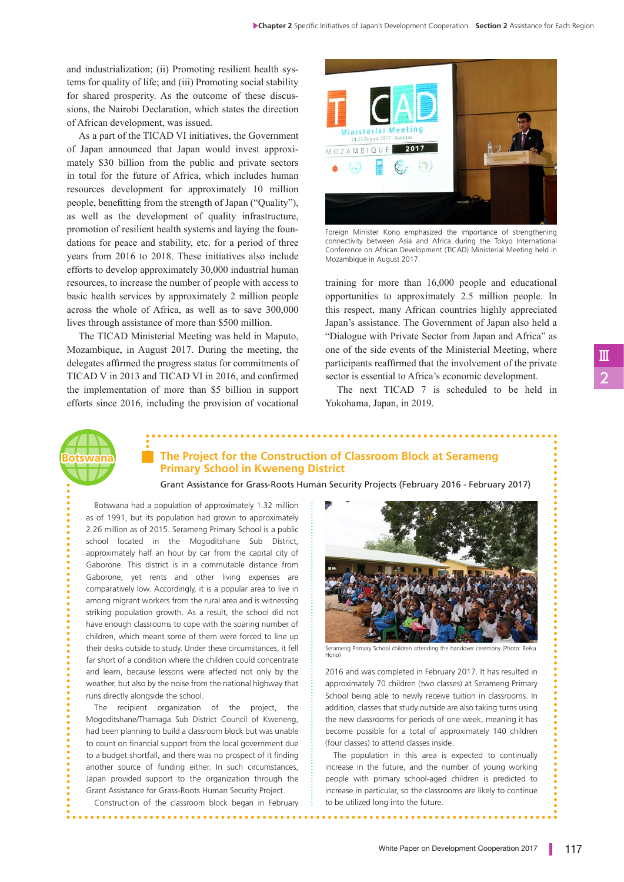and industrialization; (ii) Promoting resilient health systems for quality of life; and (iii) Promoting social stability for shared prosperity. As the outcome of these discussions, the Nairobi Declaration, which states the direction of African development, was issued.

As a part of the TICAD VI initiatives, the Government of Japan announced that Japan would invest approximately \$30 billion from the public and private sectors in total for the future of Africa, which includes human resources development for approximately 10 million people, benefitting from the strength of Japan ("Quality"), as well as the development of quality infrastructure, promotion of resilient health systems and laying the foundations for peace and stability, etc. for a period of three years from 2016 to 2018. These initiatives also include efforts to develop approximately 30,000 industrial human resources, to increase the number of people with access to basic health services by approximately 2 million people across the whole of Africa, as well as to save 300,000 lives through assistance of more than \$500 million.

The TICAD Ministerial Meeting was held in Maputo, Mozambique, in August 2017. During the meeting, the delegates affirmed the progress status for commitments of TICAD V in 2013 and TICAD VI in 2016, and confirmed the implementation of more than \$5 billion in support efforts since 2016, including the provision of vocational



Foreign Minister Kono emphasized the importance of strengthening connectivity between Asia and Africa during the Tokyo International Conference on African Development (TICAD) Ministerial Meeting held in Mozambique in August 2017.

training for more than 16,000 people and educational opportunities to approximately 2.5 million people. In this respect, many African countries highly appreciated Japan's assistance. The Government of Japan also held a "Dialogue with Private Sector from Japan and Africa" as one of the side events of the Ministerial Meeting, where participants reaffirmed that the involvement of the private sector is essential to Africa's economic development.

The next TICAD 7 is scheduled to be held in Yokohama, Japan, in 2019.



## **Botswana The Project for the Construction of Classroom Block at Serameng Primary School in Kweneng District**

Grant Assistance for Grass-Roots Human Security Projects (February 2016 - February 2017)

Botswana had a population of approximately 1.32 million as of 1991, but its population had grown to approximately 2.26 million as of 2015. Serameng Primary School is a public school located in the Mogoditshane Sub District, approximately half an hour by car from the capital city of Gaborone. This district is in a commutable distance from Gaborone, yet rents and other living expenses are comparatively low. Accordingly, it is a popular area to live in among migrant workers from the rural area and is witnessing striking population growth. As a result, the school did not have enough classrooms to cope with the soaring number of children, which meant some of them were forced to line up their desks outside to study. Under these circumstances, it fell far short of a condition where the children could concentrate and learn, because lessons were affected not only by the weather, but also by the noise from the national highway that runs directly alongside the school.

The recipient organization of the project, the Mogoditshane/Thamaga Sub District Council of Kweneng, had been planning to build a classroom block but was unable to count on financial support from the local government due to a budget shortfall, and there was no prospect of it finding another source of funding either. In such circumstances, Japan provided support to the organization through the Grant Assistance for Grass-Roots Human Security Project.

Construction of the classroom block began in February



Serameng Primary School children attending the handover ceremony (Photo: Reika Horio)

2016 and was completed in February 2017. It has resulted in approximately 70 children (two classes) at Serameng Primary School being able to newly receive tuition in classrooms. In addition, classes that study outside are also taking turns using the new classrooms for periods of one week, meaning it has become possible for a total of approximately 140 children (four classes) to attend classes inside.

The population in this area is expected to continually increase in the future, and the number of young working people with primary school-aged children is predicted to increase in particular, so the classrooms are likely to continue to be utilized long into the future.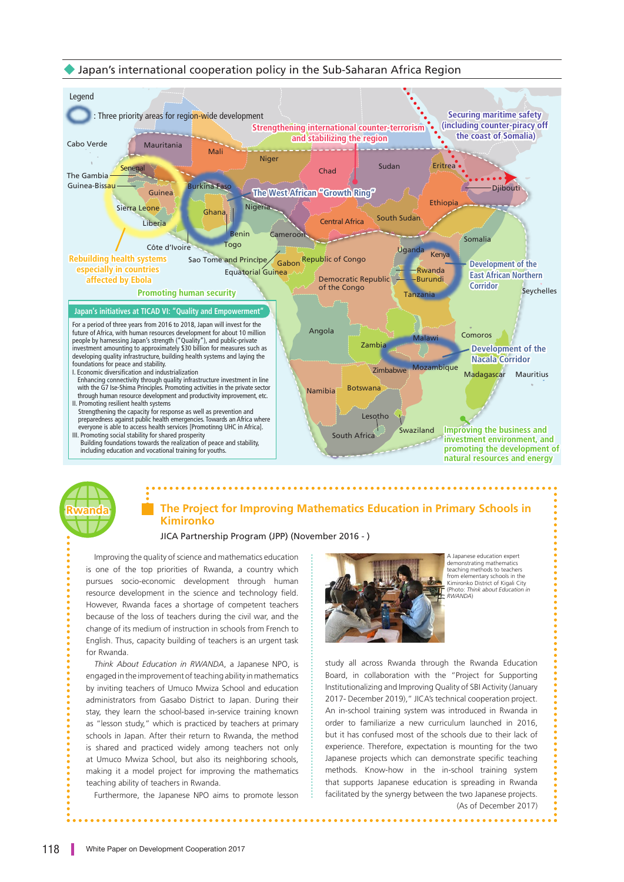### Japan's international cooperation policy in the Sub-Saharan Africa Region



# **Rwanda The Project for Improving Mathematics Education in Primary Schools in Kimironko**

JICA Partnership Program (JPP) (November 2016 - )

Improving the quality of science and mathematics education is one of the top priorities of Rwanda, a country which pursues socio-economic development through human resource development in the science and technology field. However, Rwanda faces a shortage of competent teachers because of the loss of teachers during the civil war, and the change of its medium of instruction in schools from French to English. Thus, capacity building of teachers is an urgent task for Rwanda.

*Think About Education in RWANDA*, a Japanese NPO, is engaged in the improvement of teaching ability in mathematics by inviting teachers of Umuco Mwiza School and education administrators from Gasabo District to Japan. During their stay, they learn the school-based in-service training known as "lesson study," which is practiced by teachers at primary schools in Japan. After their return to Rwanda, the method is shared and practiced widely among teachers not only at Umuco Mwiza School, but also its neighboring schools, making it a model project for improving the mathematics teaching ability of teachers in Rwanda.

Furthermore, the Japanese NPO aims to promote lesson



A Japanese education expert demonstrating mathematics teaching methods to teachers from elementary schools in the Kimironko District of Kigali City (Photo: *Think about Education in RWANDA*)

study all across Rwanda through the Rwanda Education Board, in collaboration with the "Project for Supporting Institutionalizing and Improving Quality of SBI Activity (January 2017- December 2019)," JICA's technical cooperation project. An in-school training system was introduced in Rwanda in order to familiarize a new curriculum launched in 2016, but it has confused most of the schools due to their lack of experience. Therefore, expectation is mounting for the two Japanese projects which can demonstrate specific teaching methods. Know-how in the in-school training system that supports Japanese education is spreading in Rwanda facilitated by the synergy between the two Japanese projects. (As of December 2017)